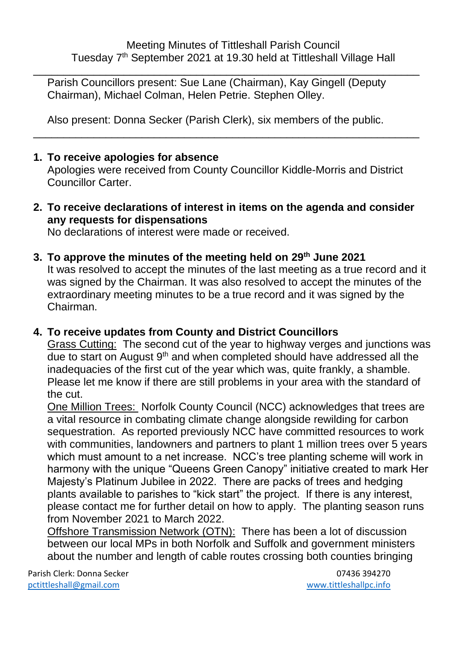\_\_\_\_\_\_\_\_\_\_\_\_\_\_\_\_\_\_\_\_\_\_\_\_\_\_\_\_\_\_\_\_\_\_\_\_\_\_\_\_\_\_\_\_\_\_\_\_\_\_\_\_\_\_\_\_\_\_\_\_\_\_\_\_ Parish Councillors present: Sue Lane (Chairman), Kay Gingell (Deputy Chairman), Michael Colman, Helen Petrie. Stephen Olley.

Also present: Donna Secker (Parish Clerk), six members of the public.

#### **1. To receive apologies for absence**

Apologies were received from County Councillor Kiddle-Morris and District Councillor Carter.

\_\_\_\_\_\_\_\_\_\_\_\_\_\_\_\_\_\_\_\_\_\_\_\_\_\_\_\_\_\_\_\_\_\_\_\_\_\_\_\_\_\_\_\_\_\_\_\_\_\_\_\_\_\_\_\_\_\_\_\_\_\_\_\_

**2. To receive declarations of interest in items on the agenda and consider any requests for dispensations**

No declarations of interest were made or received.

**3. To approve the minutes of the meeting held on 29th June 2021**

It was resolved to accept the minutes of the last meeting as a true record and it was signed by the Chairman. It was also resolved to accept the minutes of the extraordinary meeting minutes to be a true record and it was signed by the Chairman.

## **4. To receive updates from County and District Councillors**

Grass Cutting: The second cut of the year to highway verges and junctions was due to start on August 9<sup>th</sup> and when completed should have addressed all the inadequacies of the first cut of the year which was, quite frankly, a shamble. Please let me know if there are still problems in your area with the standard of the cut.

One Million Trees: Norfolk County Council (NCC) acknowledges that trees are a vital resource in combating climate change alongside rewilding for carbon sequestration. As reported previously NCC have committed resources to work with communities, landowners and partners to plant 1 million trees over 5 years which must amount to a net increase. NCC's tree planting scheme will work in harmony with the unique "Queens Green Canopy" initiative created to mark Her Majesty's Platinum Jubilee in 2022. There are packs of trees and hedging plants available to parishes to "kick start" the project. If there is any interest, please contact me for further detail on how to apply. The planting season runs from November 2021 to March 2022.

Offshore Transmission Network (OTN): There has been a lot of discussion between our local MPs in both Norfolk and Suffolk and government ministers about the number and length of cable routes crossing both counties bringing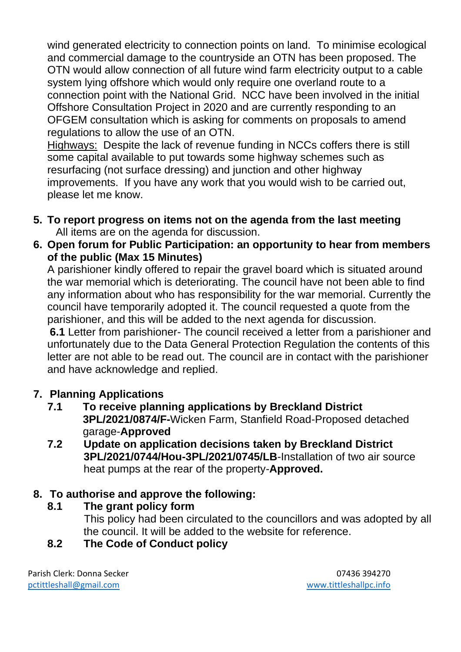wind generated electricity to connection points on land. To minimise ecological and commercial damage to the countryside an OTN has been proposed. The OTN would allow connection of all future wind farm electricity output to a cable system lying offshore which would only require one overland route to a connection point with the National Grid. NCC have been involved in the initial Offshore Consultation Project in 2020 and are currently responding to an OFGEM consultation which is asking for comments on proposals to amend regulations to allow the use of an OTN.

Highways: Despite the lack of revenue funding in NCCs coffers there is still some capital available to put towards some highway schemes such as resurfacing (not surface dressing) and junction and other highway improvements. If you have any work that you would wish to be carried out, please let me know.

- **5. To report progress on items not on the agenda from the last meeting** All items are on the agenda for discussion.
- **6. Open forum for Public Participation: an opportunity to hear from members of the public (Max 15 Minutes)**

A parishioner kindly offered to repair the gravel board which is situated around the war memorial which is deteriorating. The council have not been able to find any information about who has responsibility for the war memorial. Currently the council have temporarily adopted it. The council requested a quote from the parishioner, and this will be added to the next agenda for discussion.

**6.1** Letter from parishioner- The council received a letter from a parishioner and unfortunately due to the Data General Protection Regulation the contents of this letter are not able to be read out. The council are in contact with the parishioner and have acknowledge and replied.

## **7. Planning Applications**

- **7.1 To receive planning applications by Breckland District 3PL/2021/0874/F-**Wicken Farm, Stanfield Road-Proposed detached garage-**Approved**
- **7.2 Update on application decisions taken by Breckland District 3PL/2021/0744/Hou-3PL/2021/0745/LB**-Installation of two air source heat pumps at the rear of the property-**Approved.**

# **8. To authorise and approve the following:**

- **8.1 The grant policy form** 
	- This policy had been circulated to the councillors and was adopted by all the council. It will be added to the website for reference.

# **8.2 The Code of Conduct policy**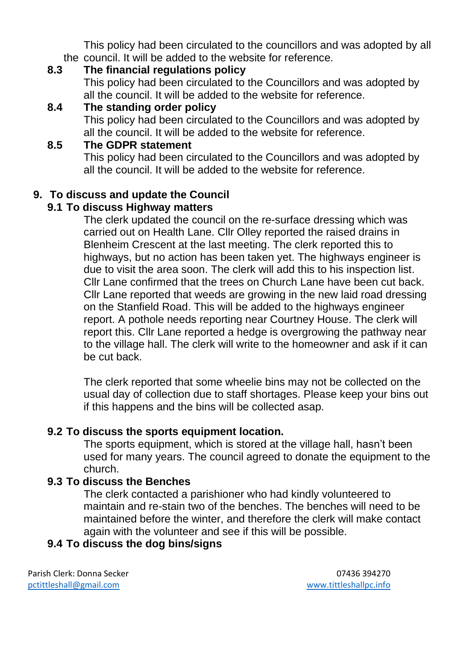This policy had been circulated to the councillors and was adopted by all the council. It will be added to the website for reference.<br>8.3 The financial requisions policy

## **8.3 The financial regulations policy**

This policy had been circulated to the Councillors and was adopted by all the council. It will be added to the website for reference.

### **8.4 The standing order policy**

This policy had been circulated to the Councillors and was adopted by all the council. It will be added to the website for reference.

#### **8.5 The GDPR statement**

This policy had been circulated to the Councillors and was adopted by all the council. It will be added to the website for reference.

## **9. To discuss and update the Council**

#### **9.1 To discuss Highway matters**

The clerk updated the council on the re-surface dressing which was carried out on Health Lane. Cllr Olley reported the raised drains in Blenheim Crescent at the last meeting. The clerk reported this to highways, but no action has been taken yet. The highways engineer is due to visit the area soon. The clerk will add this to his inspection list. Cllr Lane confirmed that the trees on Church Lane have been cut back. Cllr Lane reported that weeds are growing in the new laid road dressing on the Stanfield Road. This will be added to the highways engineer report. A pothole needs reporting near Courtney House. The clerk will report this. Cllr Lane reported a hedge is overgrowing the pathway near to the village hall. The clerk will write to the homeowner and ask if it can be cut back.

The clerk reported that some wheelie bins may not be collected on the usual day of collection due to staff shortages. Please keep your bins out if this happens and the bins will be collected asap.

#### **9.2 To discuss the sports equipment location.**

The sports equipment, which is stored at the village hall, hasn't been used for many years. The council agreed to donate the equipment to the church.

#### **9.3 To discuss the Benches**

The clerk contacted a parishioner who had kindly volunteered to maintain and re-stain two of the benches. The benches will need to be maintained before the winter, and therefore the clerk will make contact again with the volunteer and see if this will be possible.

# **9.4 To discuss the dog bins/signs**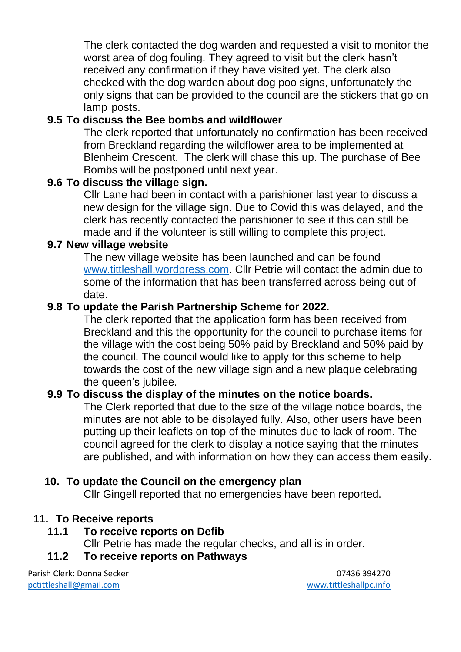The clerk contacted the dog warden and requested a visit to monitor the worst area of dog fouling. They agreed to visit but the clerk hasn't received any confirmation if they have visited yet. The clerk also checked with the dog warden about dog poo signs, unfortunately the only signs that can be provided to the council are the stickers that go on lamp posts.

## **9.5 To discuss the Bee bombs and wildflower**

The clerk reported that unfortunately no confirmation has been received from Breckland regarding the wildflower area to be implemented at Blenheim Crescent. The clerk will chase this up. The purchase of Bee Bombs will be postponed until next year.

#### **9.6 To discuss the village sign.**

Cllr Lane had been in contact with a parishioner last year to discuss a new design for the village sign. Due to Covid this was delayed, and the clerk has recently contacted the parishioner to see if this can still be made and if the volunteer is still willing to complete this project.

#### **9.7 New village website**

The new village website has been launched and can be found [www.tittleshall.wordpress.com.](http://www.tittleshall.wordpress.com/) Cllr Petrie will contact the admin due to some of the information that has been transferred across being out of date.

#### **9.8 To update the Parish Partnership Scheme for 2022.**

The clerk reported that the application form has been received from Breckland and this the opportunity for the council to purchase items for the village with the cost being 50% paid by Breckland and 50% paid by the council. The council would like to apply for this scheme to help towards the cost of the new village sign and a new plaque celebrating the queen's jubilee.

#### **9.9 To discuss the display of the minutes on the notice boards.**

The Clerk reported that due to the size of the village notice boards, the minutes are not able to be displayed fully. Also, other users have been putting up their leaflets on top of the minutes due to lack of room. The council agreed for the clerk to display a notice saying that the minutes are published, and with information on how they can access them easily.

#### **10. To update the Council on the emergency plan**

Cllr Gingell reported that no emergencies have been reported.

#### **11. To Receive reports**

#### **11.1 To receive reports on Defib**

Cllr Petrie has made the regular checks, and all is in order.

#### **11.2 To receive reports on Pathways**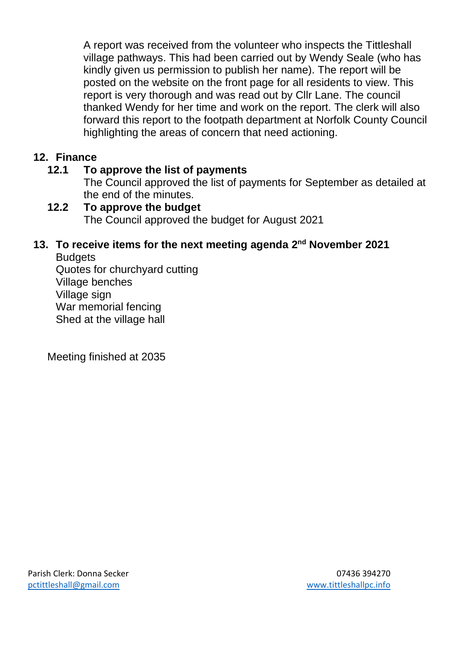A report was received from the volunteer who inspects the Tittleshall village pathways. This had been carried out by Wendy Seale (who has kindly given us permission to publish her name). The report will be posted on the website on the front page for all residents to view. This report is very thorough and was read out by Cllr Lane. The council thanked Wendy for her time and work on the report. The clerk will also forward this report to the footpath department at Norfolk County Council highlighting the areas of concern that need actioning.

## **12. Finance**

# **12.1 To approve the list of payments**

The Council approved the list of payments for September as detailed at the end of the minutes.

# **12.2 To approve the budget** The Council approved the budget for August 2021

#### **13. To receive items for the next meeting agenda 2 nd November 2021 Budgets**

Quotes for churchyard cutting Village benches Village sign War memorial fencing Shed at the village hall

Meeting finished at 2035